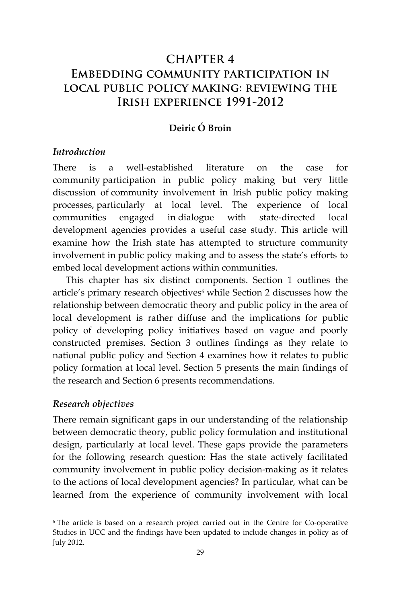# **CHAPTER 4 Embedding community participation in local public policy making: reviewing the Irish experience 1991-2012**

## **Deiric Ó Broin**

#### *Introduction*

There is a well-established literature on the case for community participation in public policy making but very little discussion of community involvement in Irish public policy making processes, particularly at local level. The experience of local communities engaged in dialogue with state‐directed local development agencies provides a useful case study. This article will examine how the Irish state has attempted to structure community involvement in public policy making and to assess the state's efforts to embed local development actions within communities.

This chapter has six distinct components. Section 1 outlines the article's primary research objectives<sup>6</sup> while Section 2 discusses how the relationship between democratic theory and public policy in the area of local development is rather diffuse and the implications for public policy of developing policy initiatives based on vague and poorly constructed premises. Section 3 outlines findings as they relate to national public policy and Section 4 examines how it relates to public policy formation at local level. Section 5 presents the main findings of the research and Section 6 presents recommendations.

#### *Research objectives*

 $\overline{a}$ 

There remain significant gaps in our understanding of the relationship between democratic theory, public policy formulation and institutional design, particularly at local level. These gaps provide the parameters for the following research question: Has the state actively facilitated community involvement in public policy decision‐making as it relates to the actions of local development agencies? In particular, what can be learned from the experience of community involvement with local

<sup>&</sup>lt;sup>6</sup> The article is based on a research project carried out in the Centre for Co-operative Studies in UCC and the findings have been updated to include changes in policy as of July 2012.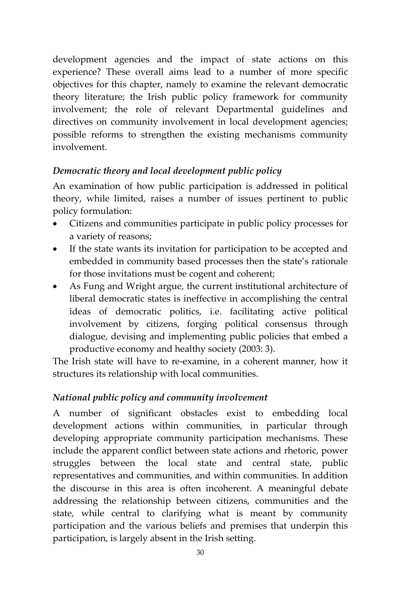development agencies and the impact of state actions on this experience? These overall aims lead to a number of more specific objectives for this chapter, namely to examine the relevant democratic theory literature; the Irish public policy framework for community involvement; the role of relevant Departmental guidelines and directives on community involvement in local development agencies; possible reforms to strengthen the existing mechanisms community involvement.

### *Democratic theory and local development public policy*

An examination of how public participation is addressed in political theory, while limited, raises a number of issues pertinent to public policy formulation:

- Citizens and communities participate in public policy processes for a variety of reasons;
- If the state wants its invitation for participation to be accepted and embedded in community based processes then the state's rationale for those invitations must be cogent and coherent;
- As Fung and Wright argue, the current institutional architecture of liberal democratic states is ineffective in accomplishing the central ideas of democratic politics, i.e. facilitating active political involvement by citizens, forging political consensus through dialogue, devising and implementing public policies that embed a productive economy and healthy society (2003: 3).

The Irish state will have to re‐examine, in a coherent manner, how it structures its relationship with local communities.

#### *National public policy and community involvement*

A number of significant obstacles exist to embedding local development actions within communities, in particular through developing appropriate community participation mechanisms. These include the apparent conflict between state actions and rhetoric, power struggles between the local state and central state, public representatives and communities, and within communities. In addition the discourse in this area is often incoherent. A meaningful debate addressing the relationship between citizens, communities and the state, while central to clarifying what is meant by community participation and the various beliefs and premises that underpin this participation, is largely absent in the Irish setting.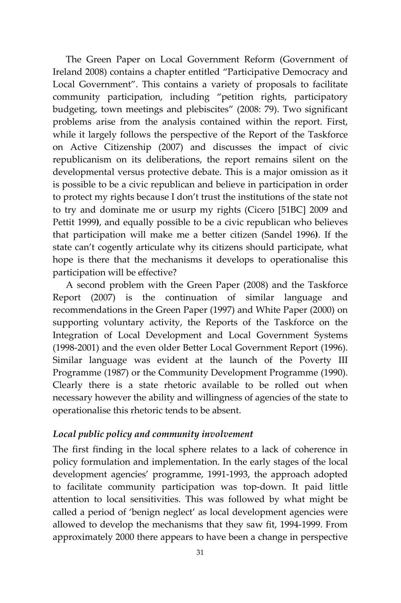The Green Paper on Local Government Reform (Government of Ireland 2008) contains a chapter entitled "Participative Democracy and Local Government". This contains a variety of proposals to facilitate community participation, including "petition rights, participatory budgeting, town meetings and plebiscites" (2008: 79). Two significant problems arise from the analysis contained within the report. First, while it largely follows the perspective of the Report of the Taskforce on Active Citizenship (2007) and discusses the impact of civic republicanism on its deliberations, the report remains silent on the developmental versus protective debate. This is a major omission as it is possible to be a civic republican and believe in participation in order to protect my rights because I don't trust the institutions of the state not to try and dominate me or usurp my rights (Cicero [51BC] 2009 and Pettit 1999**)**, and equally possible to be a civic republican who believes that participation will make me a better citizen (Sandel 1996**)**. If the state can't cogently articulate why its citizens should participate, what hope is there that the mechanisms it develops to operationalise this participation will be effective?

A second problem with the Green Paper (2008) and the Taskforce Report (2007) is the continuation of similar language and recommendations in the Green Paper (1997) and White Paper (2000) on supporting voluntary activity, the Reports of the Taskforce on the Integration of Local Development and Local Government Systems (1998‐2001) and the even older Better Local Government Report (1996). Similar language was evident at the launch of the Poverty III Programme (1987) or the Community Development Programme (1990). Clearly there is a state rhetoric available to be rolled out when necessary however the ability and willingness of agencies of the state to operationalise this rhetoric tends to be absent.

#### *Local public policy and community involvement*

The first finding in the local sphere relates to a lack of coherence in policy formulation and implementation. In the early stages of the local development agencies' programme, 1991‐1993, the approach adopted to facilitate community participation was top‐down. It paid little attention to local sensitivities. This was followed by what might be called a period of 'benign neglect' as local development agencies were allowed to develop the mechanisms that they saw fit, 1994‐1999. From approximately 2000 there appears to have been a change in perspective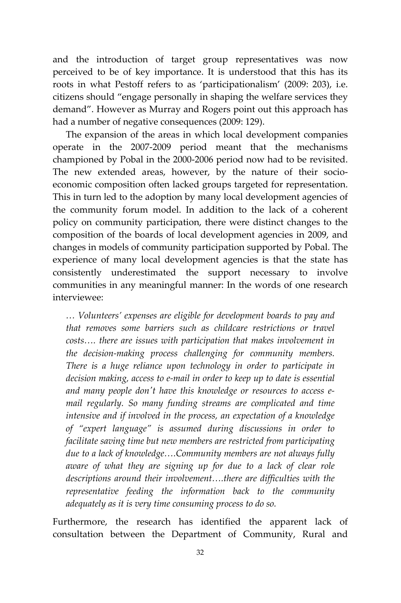and the introduction of target group representatives was now perceived to be of key importance. It is understood that this has its roots in what Pestoff refers to as 'participationalism' (2009: 203), i.e. citizens should "engage personally in shaping the welfare services they demand". However as Murray and Rogers point out this approach has had a number of negative consequences (2009: 129).

The expansion of the areas in which local development companies operate in the 2007‐2009 period meant that the mechanisms championed by Pobal in the 2000‐2006 period now had to be revisited. The new extended areas, however, by the nature of their socioeconomic composition often lacked groups targeted for representation. This in turn led to the adoption by many local development agencies of the community forum model. In addition to the lack of a coherent policy on community participation, there were distinct changes to the composition of the boards of local development agencies in 2009, and changes in models of community participation supported by Pobal. The experience of many local development agencies is that the state has consistently underestimated the support necessary to involve communities in any meaningful manner: In the words of one research interviewee:

*… Volunteers' expenses are eligible for development boards to pay and that removes some barriers such as childcare restrictions or travel costs…. there are issues with participation that makes involvement in the decision‐making process challenging for community members. There is a huge reliance upon technology in order to participate in decision making, access to e‐mail in order to keep up to date is essential and many people donʹt have this knowledge or resources to access e‐ mail regularly. So many funding streams are complicated and time intensive and if involved in the process, an expectation of a knowledge of "expert language" is assumed during discussions in order to facilitate saving time but new members are restricted from participating due to a lack of knowledge….Community members are not always fully aware of what they are signing up for due to a lack of clear role descriptions around their involvement….there are difficulties with the representative feeding the information back to the community adequately as it is very time consuming process to do so.* 

Furthermore, the research has identified the apparent lack of consultation between the Department of Community, Rural and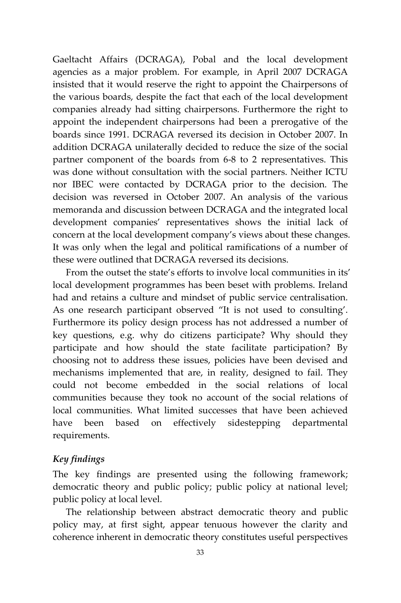Gaeltacht Affairs (DCRAGA), Pobal and the local development agencies as a major problem. For example, in April 2007 DCRAGA insisted that it would reserve the right to appoint the Chairpersons of the various boards, despite the fact that each of the local development companies already had sitting chairpersons. Furthermore the right to appoint the independent chairpersons had been a prerogative of the boards since 1991. DCRAGA reversed its decision in October 2007. In addition DCRAGA unilaterally decided to reduce the size of the social partner component of the boards from 6‐8 to 2 representatives. This was done without consultation with the social partners. Neither ICTU nor IBEC were contacted by DCRAGA prior to the decision. The decision was reversed in October 2007. An analysis of the various memoranda and discussion between DCRAGA and the integrated local development companies' representatives shows the initial lack of concern at the local development company's views about these changes. It was only when the legal and political ramifications of a number of these were outlined that DCRAGA reversed its decisions.

From the outset the state's efforts to involve local communities in its' local development programmes has been beset with problems. Ireland had and retains a culture and mindset of public service centralisation. As one research participant observed "It is not used to consulting'. Furthermore its policy design process has not addressed a number of key questions, e.g. why do citizens participate? Why should they participate and how should the state facilitate participation? By choosing not to address these issues, policies have been devised and mechanisms implemented that are, in reality, designed to fail. They could not become embedded in the social relations of local communities because they took no account of the social relations of local communities. What limited successes that have been achieved have been based on effectively sidestepping departmental requirements.

#### *Key findings*

The key findings are presented using the following framework; democratic theory and public policy; public policy at national level; public policy at local level.

The relationship between abstract democratic theory and public policy may, at first sight, appear tenuous however the clarity and coherence inherent in democratic theory constitutes useful perspectives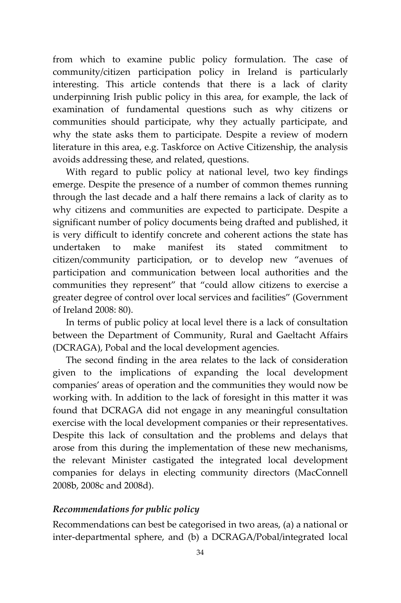from which to examine public policy formulation. The case of community/citizen participation policy in Ireland is particularly interesting. This article contends that there is a lack of clarity underpinning Irish public policy in this area, for example, the lack of examination of fundamental questions such as why citizens or communities should participate, why they actually participate, and why the state asks them to participate. Despite a review of modern literature in this area, e.g. Taskforce on Active Citizenship, the analysis avoids addressing these, and related, questions.

With regard to public policy at national level, two key findings emerge. Despite the presence of a number of common themes running through the last decade and a half there remains a lack of clarity as to why citizens and communities are expected to participate. Despite a significant number of policy documents being drafted and published, it is very difficult to identify concrete and coherent actions the state has undertaken to make manifest its stated commitment to citizen/community participation, or to develop new "avenues of participation and communication between local authorities and the communities they represent" that "could allow citizens to exercise a greater degree of control over local services and facilities" (Government of Ireland 2008: 80).

In terms of public policy at local level there is a lack of consultation between the Department of Community, Rural and Gaeltacht Affairs (DCRAGA), Pobal and the local development agencies.

The second finding in the area relates to the lack of consideration given to the implications of expanding the local development companies' areas of operation and the communities they would now be working with. In addition to the lack of foresight in this matter it was found that DCRAGA did not engage in any meaningful consultation exercise with the local development companies or their representatives. Despite this lack of consultation and the problems and delays that arose from this during the implementation of these new mechanisms, the relevant Minister castigated the integrated local development companies for delays in electing community directors (MacConnell 2008b, 2008c and 2008d).

#### *Recommendations for public policy*

Recommendations can best be categorised in two areas, (a) a national or inter‐departmental sphere, and (b) a DCRAGA/Pobal/integrated local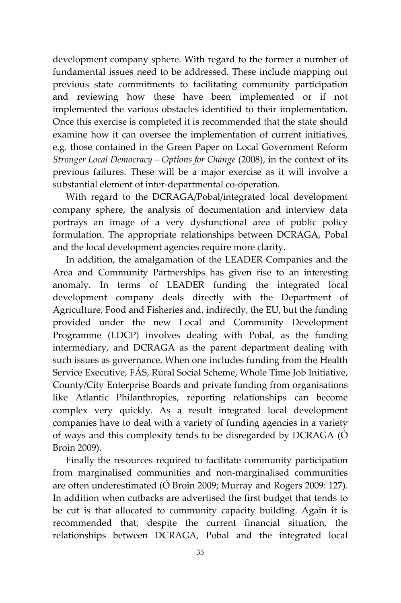development company sphere. With regard to the former a number of fundamental issues need to be addressed. These include mapping out previous state commitments to facilitating community participation and reviewing how these have been implemented or if not implemented the various obstacles identified to their implementation. Once this exercise is completed it is recommended that the state should examine how it can oversee the implementation of current initiatives, e.g. those contained in the Green Paper on Local Government Reform *Stronger Local Democracy – Options for Change* (2008), in the context of its previous failures. These will be a major exercise as it will involve a substantial element of inter-departmental co-operation.

With regard to the DCRAGA/Pobal/integrated local development company sphere, the analysis of documentation and interview data portrays an image of a very dysfunctional area of public policy formulation. The appropriate relationships between DCRAGA, Pobal and the local development agencies require more clarity.

In addition, the amalgamation of the LEADER Companies and the Area and Community Partnerships has given rise to an interesting anomaly. In terms of LEADER funding the integrated local development company deals directly with the Department of Agriculture, Food and Fisheries and, indirectly, the EU, but the funding provided under the new Local and Community Development Programme (LDCP) involves dealing with Pobal, as the funding intermediary, and DCRAGA as the parent department dealing with such issues as governance. When one includes funding from the Health Service Executive, FÁS, Rural Social Scheme, Whole Time Job Initiative, County/City Enterprise Boards and private funding from organisations like Atlantic Philanthropies, reporting relationships can become complex very quickly. As a result integrated local development companies have to deal with a variety of funding agencies in a variety of ways and this complexity tends to be disregarded by DCRAGA (Ó Broin 2009).

Finally the resources required to facilitate community participation from marginalised communities and non‐marginalised communities are often underestimated (Ó Broin 2009; Murray and Rogers 2009: 127). In addition when cutbacks are advertised the first budget that tends to be cut is that allocated to community capacity building. Again it is recommended that, despite the current financial situation, the relationships between DCRAGA, Pobal and the integrated local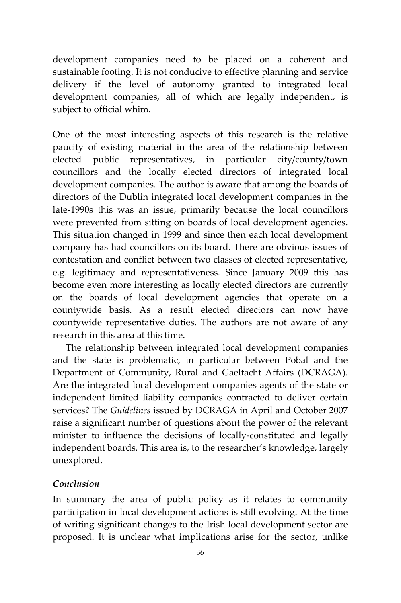development companies need to be placed on a coherent and sustainable footing. It is not conducive to effective planning and service delivery if the level of autonomy granted to integrated local development companies, all of which are legally independent, is subject to official whim.

One of the most interesting aspects of this research is the relative paucity of existing material in the area of the relationship between elected public representatives, in particular city/county/town councillors and the locally elected directors of integrated local development companies. The author is aware that among the boards of directors of the Dublin integrated local development companies in the late‐1990s this was an issue, primarily because the local councillors were prevented from sitting on boards of local development agencies. This situation changed in 1999 and since then each local development company has had councillors on its board. There are obvious issues of contestation and conflict between two classes of elected representative, e.g. legitimacy and representativeness. Since January 2009 this has become even more interesting as locally elected directors are currently on the boards of local development agencies that operate on a countywide basis. As a result elected directors can now have countywide representative duties. The authors are not aware of any research in this area at this time.

The relationship between integrated local development companies and the state is problematic, in particular between Pobal and the Department of Community, Rural and Gaeltacht Affairs (DCRAGA). Are the integrated local development companies agents of the state or independent limited liability companies contracted to deliver certain services? The *Guidelines* issued by DCRAGA in April and October 2007 raise a significant number of questions about the power of the relevant minister to influence the decisions of locally‐constituted and legally independent boards. This area is, to the researcher's knowledge, largely unexplored.

#### *Conclusion*

In summary the area of public policy as it relates to community participation in local development actions is still evolving. At the time of writing significant changes to the Irish local development sector are proposed. It is unclear what implications arise for the sector, unlike